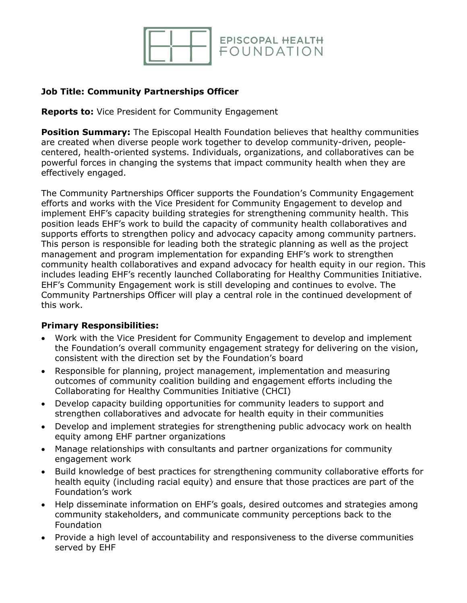

# **Job Title: Community Partnerships Officer**

**Reports to:** Vice President for Community Engagement

**Position Summary:** The Episcopal Health Foundation believes that healthy communities are created when diverse people work together to develop community-driven, peoplecentered, health-oriented systems. Individuals, organizations, and collaboratives can be powerful forces in changing the systems that impact community health when they are effectively engaged.

The Community Partnerships Officer supports the Foundation's Community Engagement efforts and works with the Vice President for Community Engagement to develop and implement EHF's capacity building strategies for strengthening community health. This position leads EHF's work to build the capacity of community health collaboratives and supports efforts to strengthen policy and advocacy capacity among community partners. This person is responsible for leading both the strategic planning as well as the project management and program implementation for expanding EHF's work to strengthen community health collaboratives and expand advocacy for health equity in our region. This includes leading EHF's recently launched Collaborating for Healthy Communities Initiative. EHF's Community Engagement work is still developing and continues to evolve. The Community Partnerships Officer will play a central role in the continued development of this work.

# **Primary Responsibilities:**

- Work with the Vice President for Community Engagement to develop and implement the Foundation's overall community engagement strategy for delivering on the vision, consistent with the direction set by the Foundation's board
- Responsible for planning, project management, implementation and measuring outcomes of community coalition building and engagement efforts including the Collaborating for Healthy Communities Initiative (CHCI)
- Develop capacity building opportunities for community leaders to support and strengthen collaboratives and advocate for health equity in their communities
- Develop and implement strategies for strengthening public advocacy work on health equity among EHF partner organizations
- Manage relationships with consultants and partner organizations for community engagement work
- Build knowledge of best practices for strengthening community collaborative efforts for health equity (including racial equity) and ensure that those practices are part of the Foundation's work
- Help disseminate information on EHF's goals, desired outcomes and strategies among community stakeholders, and communicate community perceptions back to the Foundation
- Provide a high level of accountability and responsiveness to the diverse communities served by EHF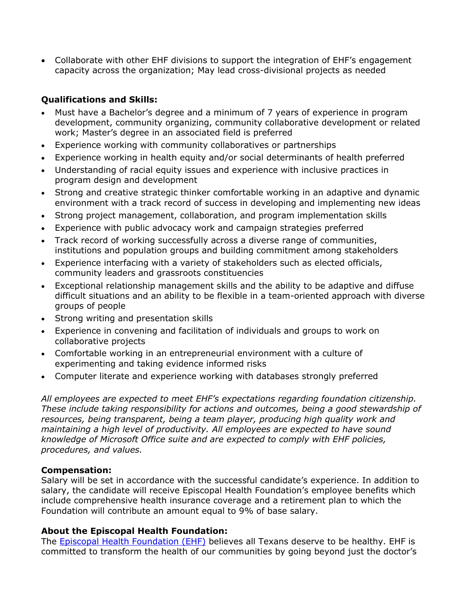• Collaborate with other EHF divisions to support the integration of EHF's engagement capacity across the organization; May lead cross-divisional projects as needed

# **Qualifications and Skills:**

- Must have a Bachelor's degree and a minimum of 7 years of experience in program development, community organizing, community collaborative development or related work; Master's degree in an associated field is preferred
- Experience working with community collaboratives or partnerships
- Experience working in health equity and/or social determinants of health preferred
- Understanding of racial equity issues and experience with inclusive practices in program design and development
- Strong and creative strategic thinker comfortable working in an adaptive and dynamic environment with a track record of success in developing and implementing new ideas
- Strong project management, collaboration, and program implementation skills
- Experience with public advocacy work and campaign strategies preferred
- Track record of working successfully across a diverse range of communities, institutions and population groups and building commitment among stakeholders
- Experience interfacing with a variety of stakeholders such as elected officials, community leaders and grassroots constituencies
- Exceptional relationship management skills and the ability to be adaptive and diffuse difficult situations and an ability to be flexible in a team-oriented approach with diverse groups of people
- Strong writing and presentation skills
- Experience in convening and facilitation of individuals and groups to work on collaborative projects
- Comfortable working in an entrepreneurial environment with a culture of experimenting and taking evidence informed risks
- Computer literate and experience working with databases strongly preferred

*All employees are expected to meet EHF's expectations regarding foundation citizenship. These include taking responsibility for actions and outcomes, being a good stewardship of resources, being transparent, being a team player, producing high quality work and maintaining a high level of productivity. All employees are expected to have sound knowledge of Microsoft Office suite and are expected to comply with EHF policies, procedures, and values.*

# **Compensation:**

Salary will be set in accordance with the successful candidate's experience. In addition to salary, the candidate will receive Episcopal Health Foundation's employee benefits which include comprehensive health insurance coverage and a retirement plan to which the Foundation will contribute an amount equal to 9% of base salary.

# **About the Episcopal Health Foundation:**

The [Episcopal Health Foundation \(EHF\)](http://www.episcopalhealth.org/) believes all Texans deserve to be healthy. EHF is committed to transform the health of our communities by going beyond just the doctor's